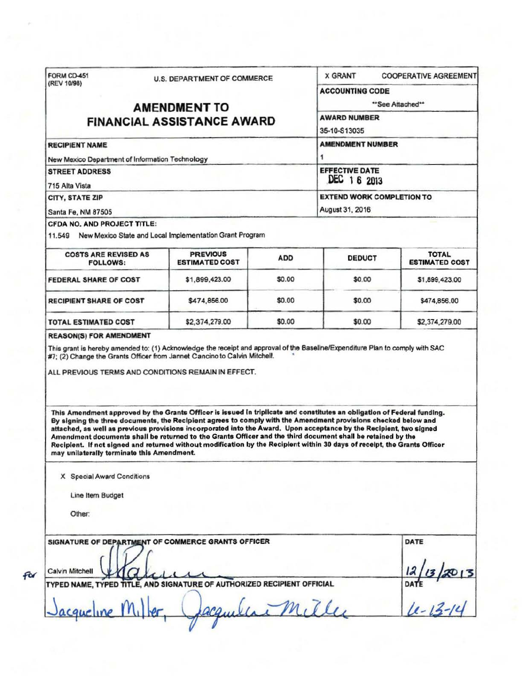| (REV 10/98)                                                                                                                                                                                                                                                                                         | <b>U.S. DEPARTMENT OF COMMERCE</b>                                                                                                                                                                                                                                                                                                                                                                                                                                                                                                                                                                          |                                                                           | <b>X GRANT</b>               |  | <b>COOPERATIVE AGREEMENT</b>          |
|-----------------------------------------------------------------------------------------------------------------------------------------------------------------------------------------------------------------------------------------------------------------------------------------------------|-------------------------------------------------------------------------------------------------------------------------------------------------------------------------------------------------------------------------------------------------------------------------------------------------------------------------------------------------------------------------------------------------------------------------------------------------------------------------------------------------------------------------------------------------------------------------------------------------------------|---------------------------------------------------------------------------|------------------------------|--|---------------------------------------|
|                                                                                                                                                                                                                                                                                                     |                                                                                                                                                                                                                                                                                                                                                                                                                                                                                                                                                                                                             | <b>ACCOUNTING CODE</b>                                                    |                              |  |                                       |
|                                                                                                                                                                                                                                                                                                     | <b>AMENDMENT TO</b>                                                                                                                                                                                                                                                                                                                                                                                                                                                                                                                                                                                         |                                                                           | **See Attached**             |  |                                       |
| <b>FINANCIAL ASSISTANCE AWARD</b>                                                                                                                                                                                                                                                                   |                                                                                                                                                                                                                                                                                                                                                                                                                                                                                                                                                                                                             | <b>AWARD NUMBER</b>                                                       |                              |  |                                       |
|                                                                                                                                                                                                                                                                                                     |                                                                                                                                                                                                                                                                                                                                                                                                                                                                                                                                                                                                             | 35-10-S13035                                                              |                              |  |                                       |
| <b>RECIPIENT NAME</b>                                                                                                                                                                                                                                                                               |                                                                                                                                                                                                                                                                                                                                                                                                                                                                                                                                                                                                             |                                                                           | <b>AMENDMENT NUMBER</b><br>1 |  |                                       |
| New Mexico Department of Information Technology                                                                                                                                                                                                                                                     |                                                                                                                                                                                                                                                                                                                                                                                                                                                                                                                                                                                                             |                                                                           |                              |  |                                       |
| <b>STREET ADDRESS</b><br>715 Alta Vista                                                                                                                                                                                                                                                             |                                                                                                                                                                                                                                                                                                                                                                                                                                                                                                                                                                                                             | <b>EFFECTIVE DATE</b><br>DEC 1 6 2013<br><b>EXTEND WORK COMPLETION TO</b> |                              |  |                                       |
|                                                                                                                                                                                                                                                                                                     |                                                                                                                                                                                                                                                                                                                                                                                                                                                                                                                                                                                                             |                                                                           |                              |  |                                       |
| <b>CITY, STATE ZIP</b>                                                                                                                                                                                                                                                                              |                                                                                                                                                                                                                                                                                                                                                                                                                                                                                                                                                                                                             | August 31, 2016                                                           |                              |  |                                       |
| Santa Fe, NM 87505                                                                                                                                                                                                                                                                                  |                                                                                                                                                                                                                                                                                                                                                                                                                                                                                                                                                                                                             |                                                                           |                              |  |                                       |
| CFDA NO. AND PROJECT TITLE:                                                                                                                                                                                                                                                                         | 11.549 New Mexico State and Local Implementation Grant Program                                                                                                                                                                                                                                                                                                                                                                                                                                                                                                                                              |                                                                           |                              |  |                                       |
| <b>COSTS ARE REVISED AS</b><br><b>FOLLOWS:</b>                                                                                                                                                                                                                                                      | <b>PREVIOUS</b><br><b>ESTIMATED COST</b>                                                                                                                                                                                                                                                                                                                                                                                                                                                                                                                                                                    | <b>ADD</b>                                                                | <b>DEDUCT</b>                |  | <b>TOTAL</b><br><b>ESTIMATED COST</b> |
| FEDERAL SHARE OF COST                                                                                                                                                                                                                                                                               | \$1,899,423.00                                                                                                                                                                                                                                                                                                                                                                                                                                                                                                                                                                                              | \$0.00                                                                    | \$0.00                       |  | \$1,899,423.00                        |
| <b>RECIPIENT SHARE OF COST</b>                                                                                                                                                                                                                                                                      | \$474,856.00                                                                                                                                                                                                                                                                                                                                                                                                                                                                                                                                                                                                | \$0.00                                                                    | \$0.00                       |  | \$474,856.00                          |
| TOTAL ESTIMATED COST                                                                                                                                                                                                                                                                                | \$2,374,279.00                                                                                                                                                                                                                                                                                                                                                                                                                                                                                                                                                                                              | \$0.00                                                                    | \$0.00                       |  | \$2,374,279.00                        |
|                                                                                                                                                                                                                                                                                                     |                                                                                                                                                                                                                                                                                                                                                                                                                                                                                                                                                                                                             |                                                                           |                              |  |                                       |
| <b>REASON(S) FOR AMENDMENT</b><br>This grant is hereby amended to: (1) Acknowledge the receipt and approval of the Baseline/Expenditure Plan to comply with SAC<br>#7; (2) Change the Grants Officer from Jannet Cancino to Calvin Mitchell.<br>ALL PREVIOUS TERMS AND CONDITIONS REMAIN IN EFFECT. |                                                                                                                                                                                                                                                                                                                                                                                                                                                                                                                                                                                                             |                                                                           |                              |  |                                       |
|                                                                                                                                                                                                                                                                                                     | This Amendment approved by the Grants Officer is issued in triplicate and constitutes an obligation of Federal funding.<br>By signing the three documents, the Recipient agrees to comply with the Amendment provisions checked below and<br>attached, as well as previous provisions incorporated into the Award. Upon acceptance by the Recipient, two signed<br>Amendment documents shall be returned to the Grants Officer and the third document shall be retained by the<br>Recipient. If not signed and returned without modification by the Recipient within 30 days of receipt, the Grants Officer |                                                                           |                              |  |                                       |
| may unilaterally terminate this Amendment.<br>X Special Award Conditions                                                                                                                                                                                                                            |                                                                                                                                                                                                                                                                                                                                                                                                                                                                                                                                                                                                             |                                                                           |                              |  |                                       |
| Line Item Budget                                                                                                                                                                                                                                                                                    |                                                                                                                                                                                                                                                                                                                                                                                                                                                                                                                                                                                                             |                                                                           |                              |  |                                       |
| Other:                                                                                                                                                                                                                                                                                              |                                                                                                                                                                                                                                                                                                                                                                                                                                                                                                                                                                                                             |                                                                           |                              |  |                                       |
|                                                                                                                                                                                                                                                                                                     |                                                                                                                                                                                                                                                                                                                                                                                                                                                                                                                                                                                                             |                                                                           |                              |  | DATE                                  |
|                                                                                                                                                                                                                                                                                                     |                                                                                                                                                                                                                                                                                                                                                                                                                                                                                                                                                                                                             |                                                                           |                              |  |                                       |
| SIGNATURE OF DEPARTMENT OF COMMERCE GRANTS OFFICER<br>Calvin Mitchell<br>TYPED NAME, TYPED TITLE, AND SIGNATURE OF AUTHORIZED RECIPIENT OFFICIAL                                                                                                                                                    |                                                                                                                                                                                                                                                                                                                                                                                                                                                                                                                                                                                                             |                                                                           |                              |  |                                       |
| ucline M.                                                                                                                                                                                                                                                                                           |                                                                                                                                                                                                                                                                                                                                                                                                                                                                                                                                                                                                             |                                                                           | mille                        |  | DATE $(3-10)$                         |

for